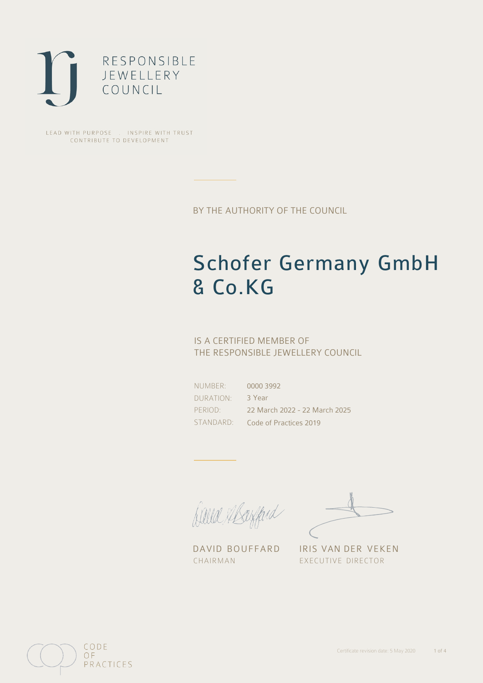

LEAD WITH PURPOSE . INSPIRE WITH TRUST CONTRIBUTE TO DEVELOPMENT

BY THE AUTHORITY OF THE COUNCIL

# Schofer Germany GmbH & Co.KG

## IS A CERTIFIED MEMBER OF THE RESPONSIBLE JEWELLERY COUNCIL

NUMBER: DURATION: PERIOD:

STANDARD: Code of Practices 2019 0000 3992 3 Year 22 March 2022 - 22 March 2025

Balla Shayfard

DAVID BOUFFARD IRIS VAN DER VEKEN CHAIRMAN EXECUTIVE DIRECTOR

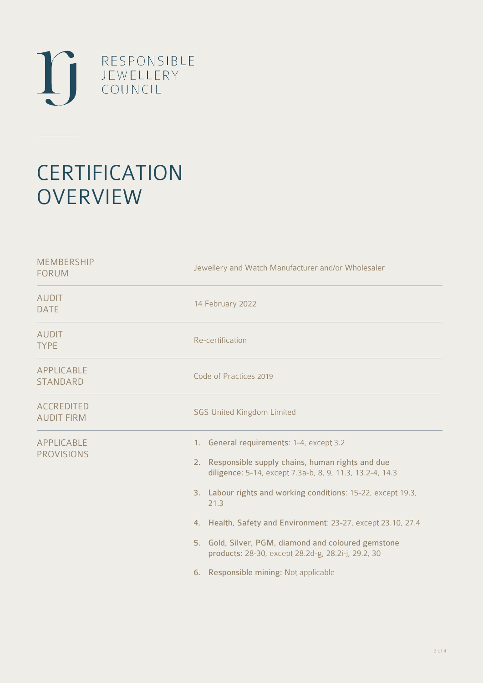

# **CERTIFICATION OVERVIEW**

| Jewellery and Watch Manufacturer and/or Wholesaler                                                                                                                                                                                                                                                                                                                                                                                                          |  |  |
|-------------------------------------------------------------------------------------------------------------------------------------------------------------------------------------------------------------------------------------------------------------------------------------------------------------------------------------------------------------------------------------------------------------------------------------------------------------|--|--|
| 14 February 2022                                                                                                                                                                                                                                                                                                                                                                                                                                            |  |  |
| Re-certification                                                                                                                                                                                                                                                                                                                                                                                                                                            |  |  |
| Code of Practices 2019                                                                                                                                                                                                                                                                                                                                                                                                                                      |  |  |
| <b>SGS United Kingdom Limited</b>                                                                                                                                                                                                                                                                                                                                                                                                                           |  |  |
| 1. General requirements: 1-4, except 3.2<br>2. Responsible supply chains, human rights and due<br>diligence: 5-14, except 7.3a-b, 8, 9, 11.3, 13.2-4, 14.3<br>3. Labour rights and working conditions: 15-22, except 19.3,<br>21.3<br>4. Health, Safety and Environment: 23-27, except 23.10, 27.4<br>5. Gold, Silver, PGM, diamond and coloured gemstone<br>products: 28-30, except 28.2d-g, 28.2i-j, 29.2, 30<br>Responsible mining: Not applicable<br>6. |  |  |
|                                                                                                                                                                                                                                                                                                                                                                                                                                                             |  |  |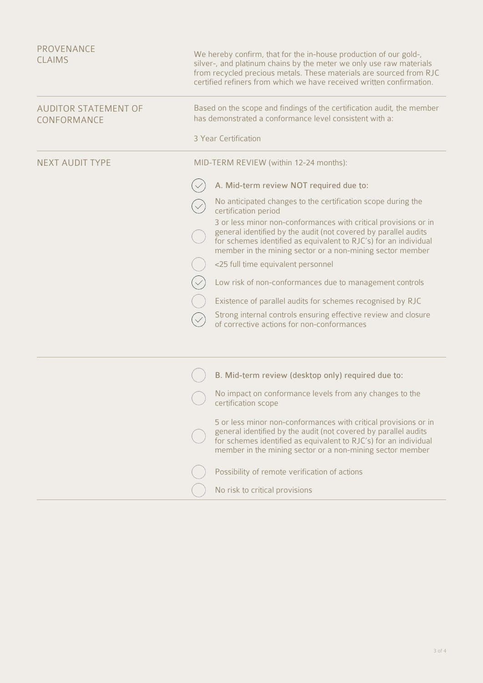| <b>PROVENANCE</b><br><b>CLAIMS</b>         | We hereby confirm, that for the in-house production of our gold-,<br>silver-, and platinum chains by the meter we only use raw materials<br>from recycled precious metals. These materials are sourced from RJC<br>certified refiners from which we have received written confirmation. |                                                                                                                                                                                                                                                                     |  |
|--------------------------------------------|-----------------------------------------------------------------------------------------------------------------------------------------------------------------------------------------------------------------------------------------------------------------------------------------|---------------------------------------------------------------------------------------------------------------------------------------------------------------------------------------------------------------------------------------------------------------------|--|
| <b>AUDITOR STATEMENT OF</b><br>CONFORMANCE |                                                                                                                                                                                                                                                                                         | Based on the scope and findings of the certification audit, the member<br>has demonstrated a conformance level consistent with a:                                                                                                                                   |  |
|                                            |                                                                                                                                                                                                                                                                                         | 3 Year Certification                                                                                                                                                                                                                                                |  |
| <b>NEXT AUDIT TYPE</b>                     | MID-TERM REVIEW (within 12-24 months):                                                                                                                                                                                                                                                  |                                                                                                                                                                                                                                                                     |  |
|                                            |                                                                                                                                                                                                                                                                                         | A. Mid-term review NOT required due to:                                                                                                                                                                                                                             |  |
|                                            |                                                                                                                                                                                                                                                                                         | No anticipated changes to the certification scope during the<br>certification period                                                                                                                                                                                |  |
|                                            |                                                                                                                                                                                                                                                                                         | 3 or less minor non-conformances with critical provisions or in<br>general identified by the audit (not covered by parallel audits<br>for schemes identified as equivalent to RJC's) for an individual<br>member in the mining sector or a non-mining sector member |  |
|                                            |                                                                                                                                                                                                                                                                                         | <25 full time equivalent personnel                                                                                                                                                                                                                                  |  |
|                                            |                                                                                                                                                                                                                                                                                         | Low risk of non-conformances due to management controls                                                                                                                                                                                                             |  |
|                                            |                                                                                                                                                                                                                                                                                         | Existence of parallel audits for schemes recognised by RJC                                                                                                                                                                                                          |  |
|                                            |                                                                                                                                                                                                                                                                                         | Strong internal controls ensuring effective review and closure<br>of corrective actions for non-conformances                                                                                                                                                        |  |
|                                            |                                                                                                                                                                                                                                                                                         |                                                                                                                                                                                                                                                                     |  |
|                                            |                                                                                                                                                                                                                                                                                         | B. Mid-term review (desktop only) required due to:                                                                                                                                                                                                                  |  |
|                                            |                                                                                                                                                                                                                                                                                         | No impact on conformance levels from any changes to the<br>certification scope                                                                                                                                                                                      |  |
|                                            |                                                                                                                                                                                                                                                                                         | 5 or less minor non-conformances with critical provisions or in<br>general identified by the audit (not covered by parallel audits<br>for schemes identified as equivalent to RJC's) for an individual<br>member in the mining sector or a non-mining sector member |  |
|                                            |                                                                                                                                                                                                                                                                                         | Possibility of remote verification of actions                                                                                                                                                                                                                       |  |
|                                            |                                                                                                                                                                                                                                                                                         | No risk to critical provisions                                                                                                                                                                                                                                      |  |